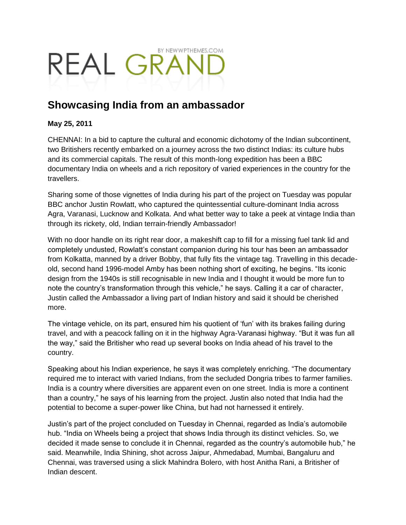## BY NEWWPTHEMES.COM REAL GRAI

## **Showcasing India from an ambassador**

## **May 25, 2011**

CHENNAI: In a bid to capture the cultural and economic dichotomy of the Indian subcontinent, two Britishers recently embarked on a journey across the two distinct Indias: its culture hubs and its commercial capitals. The result of this month-long expedition has been a BBC documentary India on wheels and a rich repository of varied experiences in the country for the travellers.

Sharing some of those vignettes of India during his part of the project on Tuesday was popular BBC anchor Justin Rowlatt, who captured the quintessential culture-dominant India across Agra, Varanasi, Lucknow and Kolkata. And what better way to take a peek at vintage India than through its rickety, old, Indian terrain-friendly Ambassador!

With no door handle on its right rear door, a makeshift cap to fill for a missing fuel tank lid and completely undusted, Rowlatt"s constant companion during his tour has been an ambassador from Kolkatta, manned by a driver Bobby, that fully fits the vintage tag. Travelling in this decadeold, second hand 1996-model Amby has been nothing short of exciting, he begins. "Its iconic design from the 1940s is still recognisable in new India and I thought it would be more fun to note the country"s transformation through this vehicle," he says. Calling it a car of character, Justin called the Ambassador a living part of Indian history and said it should be cherished more.

The vintage vehicle, on its part, ensured him his quotient of "fun" with its brakes failing during travel, and with a peacock falling on it in the highway Agra-Varanasi highway. "But it was fun all the way," said the Britisher who read up several books on India ahead of his travel to the country.

Speaking about his Indian experience, he says it was completely enriching. "The documentary required me to interact with varied Indians, from the secluded Dongria tribes to farmer families. India is a country where diversities are apparent even on one street. India is more a continent than a country," he says of his learning from the project. Justin also noted that India had the potential to become a super-power like China, but had not harnessed it entirely.

Justin"s part of the project concluded on Tuesday in Chennai, regarded as India"s automobile hub. "India on Wheels being a project that shows India through its distinct vehicles. So, we decided it made sense to conclude it in Chennai, regarded as the country's automobile hub," he said. Meanwhile, India Shining, shot across Jaipur, Ahmedabad, Mumbai, Bangaluru and Chennai, was traversed using a slick Mahindra Bolero, with host Anitha Rani, a Britisher of Indian descent.